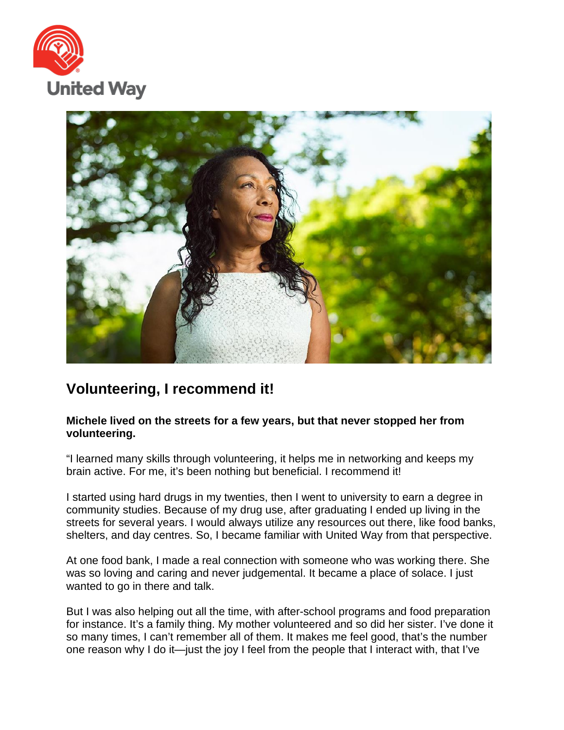



## **Volunteering, I recommend it!**

## **Michele lived on the streets for a few years, but that never stopped her from volunteering.**

"I learned many skills through volunteering, it helps me in networking and keeps my brain active. For me, it's been nothing but beneficial. I recommend it!

I started using hard drugs in my twenties, then I went to university to earn a degree in community studies. Because of my drug use, after graduating I ended up living in the streets for several years. I would always utilize any resources out there, like food banks, shelters, and day centres. So, I became familiar with United Way from that perspective.

At one food bank, I made a real connection with someone who was working there. She was so loving and caring and never judgemental. It became a place of solace. I just wanted to go in there and talk.

But I was also helping out all the time, with after-school programs and food preparation for instance. It's a family thing. My mother volunteered and so did her sister. I've done it so many times, I can't remember all of them. It makes me feel good, that's the number one reason why I do it—just the joy I feel from the people that I interact with, that I've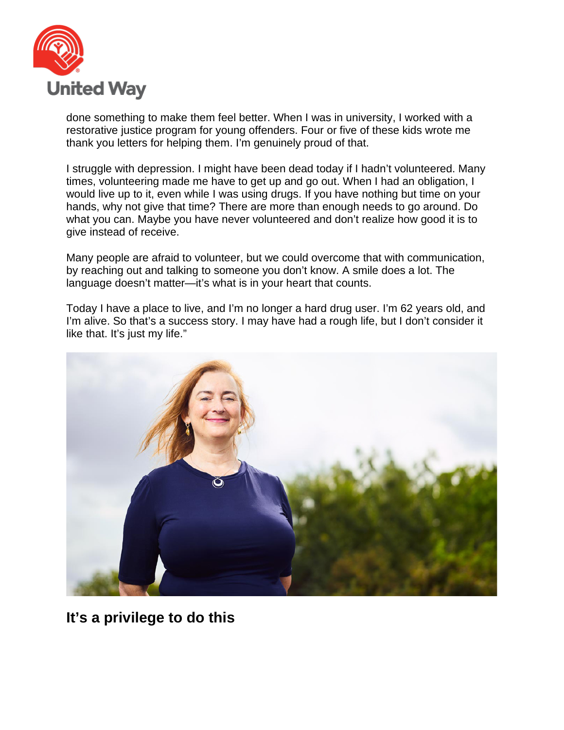

done something to make them feel better. When I was in university, I worked with a restorative justice program for young offenders. Four or five of these kids wrote me thank you letters for helping them. I'm genuinely proud of that.

I struggle with depression. I might have been dead today if I hadn't volunteered. Many times, volunteering made me have to get up and go out. When I had an obligation, I would live up to it, even while I was using drugs. If you have nothing but time on your hands, why not give that time? There are more than enough needs to go around. Do what you can. Maybe you have never volunteered and don't realize how good it is to give instead of receive.

Many people are afraid to volunteer, but we could overcome that with communication, by reaching out and talking to someone you don't know. A smile does a lot. The language doesn't matter—it's what is in your heart that counts.

Today I have a place to live, and I'm no longer a hard drug user. I'm 62 years old, and I'm alive. So that's a success story. I may have had a rough life, but I don't consider it like that. It's just my life."



**It's a privilege to do this**